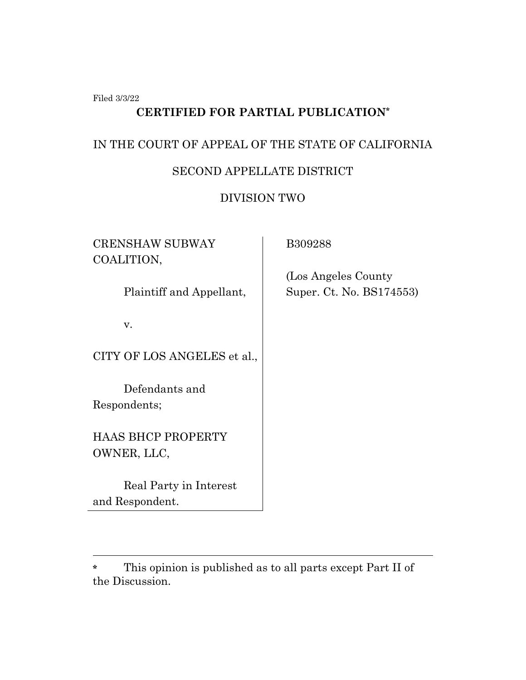Filed 3/3/22

# **CERTIFIED FOR PARTIAL PUBLICATION\***

## IN THE COURT OF APPEAL OF THE STATE OF CALIFORNIA

## SECOND APPELLATE DISTRICT

## DIVISION TWO

| <b>CRENSHAW SUBWAY</b><br>COALITION,      | B309288                                          |
|-------------------------------------------|--------------------------------------------------|
| Plaintiff and Appellant,                  | (Los Angeles County)<br>Super. Ct. No. BS174553) |
| v.                                        |                                                  |
| CITY OF LOS ANGELES et al.,               |                                                  |
| Defendants and<br>Respondents;            |                                                  |
| <b>HAAS BHCP PROPERTY</b><br>OWNER, LLC,  |                                                  |
| Real Party in Interest<br>and Respondent. |                                                  |

**<sup>\*</sup>** This opinion is published as to all parts except Part II of the Discussion.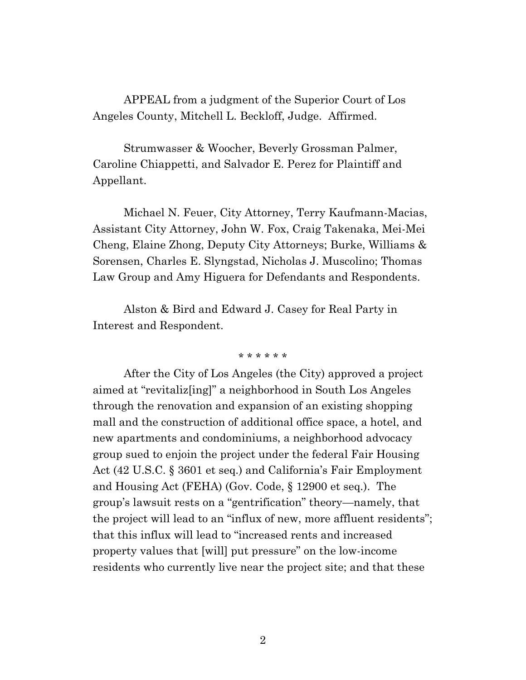APPEAL from a judgment of the Superior Court of Los Angeles County, Mitchell L. Beckloff, Judge. Affirmed.

Strumwasser & Woocher, Beverly Grossman Palmer, Caroline Chiappetti, and Salvador E. Perez for Plaintiff and Appellant.

Michael N. Feuer, City Attorney, Terry Kaufmann-Macias, Assistant City Attorney, John W. Fox, Craig Takenaka, Mei-Mei Cheng, Elaine Zhong, Deputy City Attorneys; Burke, Williams & Sorensen, Charles E. Slyngstad, Nicholas J. Muscolino; Thomas Law Group and Amy Higuera for Defendants and Respondents.

Alston & Bird and Edward J. Casey for Real Party in Interest and Respondent.

#### \* \* \* \* \* \*

After the City of Los Angeles (the City) approved a project aimed at "revitaliz[ing]" a neighborhood in South Los Angeles through the renovation and expansion of an existing shopping mall and the construction of additional office space, a hotel, and new apartments and condominiums, a neighborhood advocacy group sued to enjoin the project under the federal Fair Housing Act (42 U.S.C. § 3601 et seq.) and California's Fair Employment and Housing Act (FEHA) (Gov. Code, § 12900 et seq.). The group's lawsuit rests on a "gentrification" theory—namely, that the project will lead to an "influx of new, more affluent residents"; that this influx will lead to "increased rents and increased property values that [will] put pressure" on the low-income residents who currently live near the project site; and that these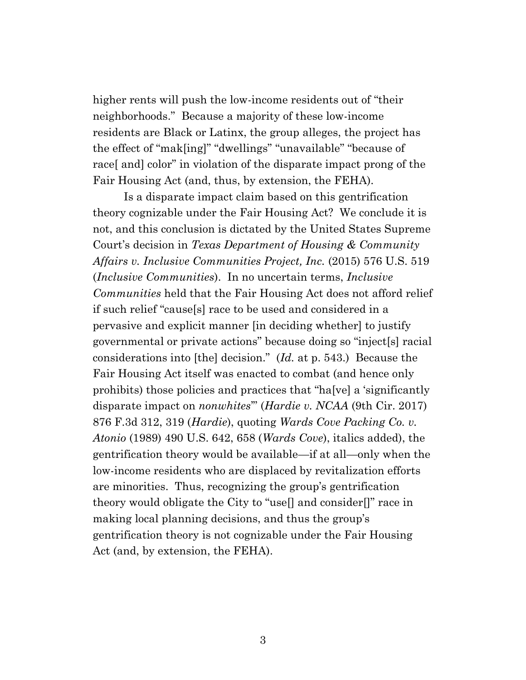higher rents will push the low-income residents out of "their neighborhoods." Because a majority of these low-income residents are Black or Latinx, the group alleges, the project has the effect of "mak[ing]" "dwellings" "unavailable" "because of race[ and] color" in violation of the disparate impact prong of the Fair Housing Act (and, thus, by extension, the FEHA).

Is a disparate impact claim based on this gentrification theory cognizable under the Fair Housing Act? We conclude it is not, and this conclusion is dictated by the United States Supreme Court's decision in *Texas Department of Housing & Community Affairs v. Inclusive Communities Project, Inc.* (2015) 576 U.S. 519 (*Inclusive Communities*). In no uncertain terms, *Inclusive Communities* held that the Fair Housing Act does not afford relief if such relief "cause[s] race to be used and considered in a pervasive and explicit manner [in deciding whether] to justify governmental or private actions" because doing so "inject[s] racial considerations into [the] decision." (*Id.* at p. 543.) Because the Fair Housing Act itself was enacted to combat (and hence only prohibits) those policies and practices that "ha[ve] a 'significantly disparate impact on *nonwhites*'" (*Hardie v. NCAA* (9th Cir. 2017) 876 F.3d 312, 319 (*Hardie*), quoting *Wards Cove Packing Co. v. Atonio* (1989) 490 U.S. 642, 658 (*Wards Cove*), italics added), the gentrification theory would be available—if at all—only when the low-income residents who are displaced by revitalization efforts are minorities. Thus, recognizing the group's gentrification theory would obligate the City to "use[] and consider[]" race in making local planning decisions, and thus the group's gentrification theory is not cognizable under the Fair Housing Act (and, by extension, the FEHA).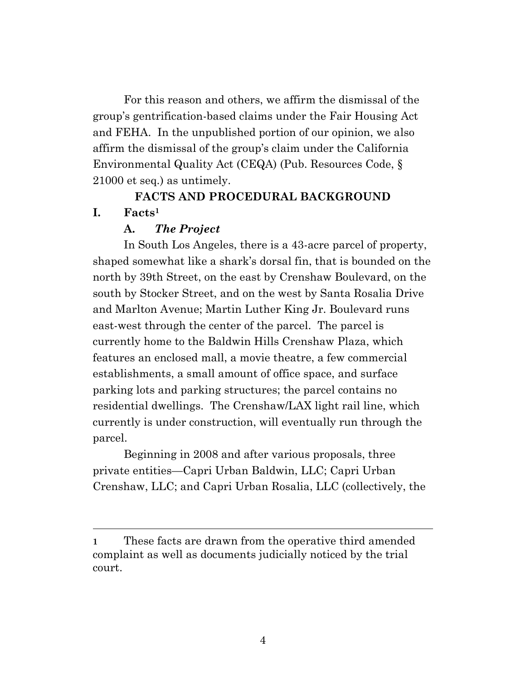For this reason and others, we affirm the dismissal of the group's gentrification-based claims under the Fair Housing Act and FEHA. In the unpublished portion of our opinion, we also affirm the dismissal of the group's claim under the California Environmental Quality Act (CEQA) (Pub. Resources Code, § 21000 et seq.) as untimely.

## **FACTS AND PROCEDURAL BACKGROUND**

## **I. Facts<sup>1</sup>**

## **A.** *The Project*

In South Los Angeles, there is a 43-acre parcel of property, shaped somewhat like a shark's dorsal fin, that is bounded on the north by 39th Street, on the east by Crenshaw Boulevard, on the south by Stocker Street, and on the west by Santa Rosalia Drive and Marlton Avenue; Martin Luther King Jr. Boulevard runs east-west through the center of the parcel. The parcel is currently home to the Baldwin Hills Crenshaw Plaza, which features an enclosed mall, a movie theatre, a few commercial establishments, a small amount of office space, and surface parking lots and parking structures; the parcel contains no residential dwellings. The Crenshaw/LAX light rail line, which currently is under construction, will eventually run through the parcel.

Beginning in 2008 and after various proposals, three private entities—Capri Urban Baldwin, LLC; Capri Urban Crenshaw, LLC; and Capri Urban Rosalia, LLC (collectively, the

**<sup>1</sup>** These facts are drawn from the operative third amended complaint as well as documents judicially noticed by the trial court.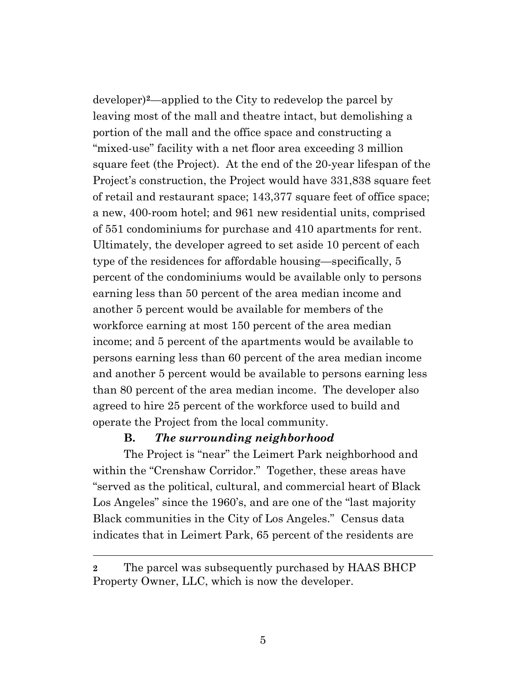developer)**2**—applied to the City to redevelop the parcel by leaving most of the mall and theatre intact, but demolishing a portion of the mall and the office space and constructing a "mixed-use" facility with a net floor area exceeding 3 million square feet (the Project). At the end of the 20-year lifespan of the Project's construction, the Project would have 331,838 square feet of retail and restaurant space; 143,377 square feet of office space; a new, 400-room hotel; and 961 new residential units, comprised of 551 condominiums for purchase and 410 apartments for rent. Ultimately, the developer agreed to set aside 10 percent of each type of the residences for affordable housing—specifically, 5 percent of the condominiums would be available only to persons earning less than 50 percent of the area median income and another 5 percent would be available for members of the workforce earning at most 150 percent of the area median income; and 5 percent of the apartments would be available to persons earning less than 60 percent of the area median income and another 5 percent would be available to persons earning less than 80 percent of the area median income. The developer also agreed to hire 25 percent of the workforce used to build and operate the Project from the local community.

### **B.** *The surrounding neighborhood*

The Project is "near" the Leimert Park neighborhood and within the "Crenshaw Corridor." Together, these areas have "served as the political, cultural, and commercial heart of Black Los Angeles" since the 1960's, and are one of the "last majority Black communities in the City of Los Angeles." Census data indicates that in Leimert Park, 65 percent of the residents are

**<sup>2</sup>** The parcel was subsequently purchased by HAAS BHCP Property Owner, LLC, which is now the developer.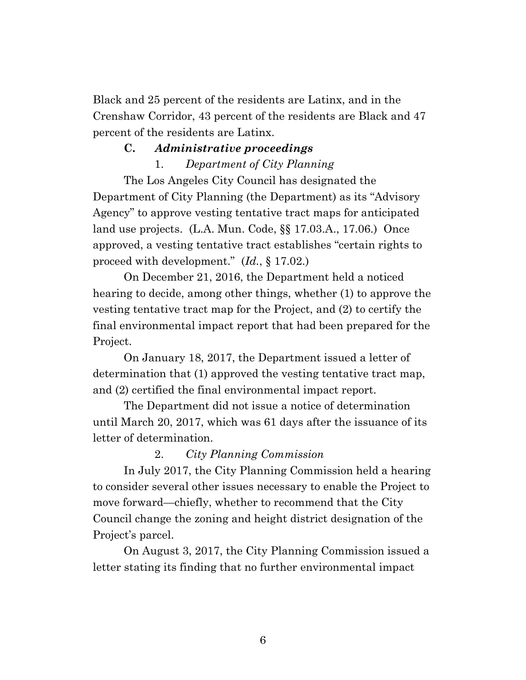Black and 25 percent of the residents are Latinx, and in the Crenshaw Corridor, 43 percent of the residents are Black and 47 percent of the residents are Latinx.

## **C.** *Administrative proceedings*

1. *Department of City Planning*

The Los Angeles City Council has designated the Department of City Planning (the Department) as its "Advisory Agency" to approve vesting tentative tract maps for anticipated land use projects. (L.A. Mun. Code, §§ 17.03.A., 17.06.) Once approved, a vesting tentative tract establishes "certain rights to proceed with development." (*Id.*, § 17.02.)

On December 21, 2016, the Department held a noticed hearing to decide, among other things, whether (1) to approve the vesting tentative tract map for the Project, and (2) to certify the final environmental impact report that had been prepared for the Project.

On January 18, 2017, the Department issued a letter of determination that (1) approved the vesting tentative tract map, and (2) certified the final environmental impact report.

The Department did not issue a notice of determination until March 20, 2017, which was 61 days after the issuance of its letter of determination.

### 2. *City Planning Commission*

In July 2017, the City Planning Commission held a hearing to consider several other issues necessary to enable the Project to move forward—chiefly, whether to recommend that the City Council change the zoning and height district designation of the Project's parcel.

On August 3, 2017, the City Planning Commission issued a letter stating its finding that no further environmental impact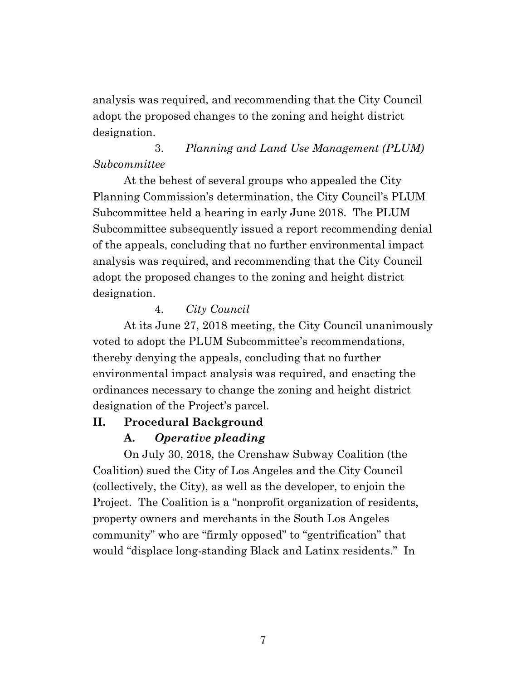analysis was required, and recommending that the City Council adopt the proposed changes to the zoning and height district designation.

## 3. *Planning and Land Use Management (PLUM) Subcommittee*

At the behest of several groups who appealed the City Planning Commission's determination, the City Council's PLUM Subcommittee held a hearing in early June 2018. The PLUM Subcommittee subsequently issued a report recommending denial of the appeals, concluding that no further environmental impact analysis was required, and recommending that the City Council adopt the proposed changes to the zoning and height district designation.

## 4. *City Council*

At its June 27, 2018 meeting, the City Council unanimously voted to adopt the PLUM Subcommittee's recommendations, thereby denying the appeals, concluding that no further environmental impact analysis was required, and enacting the ordinances necessary to change the zoning and height district designation of the Project's parcel.

## **II. Procedural Background**

## **A.** *Operative pleading*

On July 30, 2018, the Crenshaw Subway Coalition (the Coalition) sued the City of Los Angeles and the City Council (collectively, the City), as well as the developer, to enjoin the Project. The Coalition is a "nonprofit organization of residents, property owners and merchants in the South Los Angeles community" who are "firmly opposed" to "gentrification" that would "displace long-standing Black and Latinx residents." In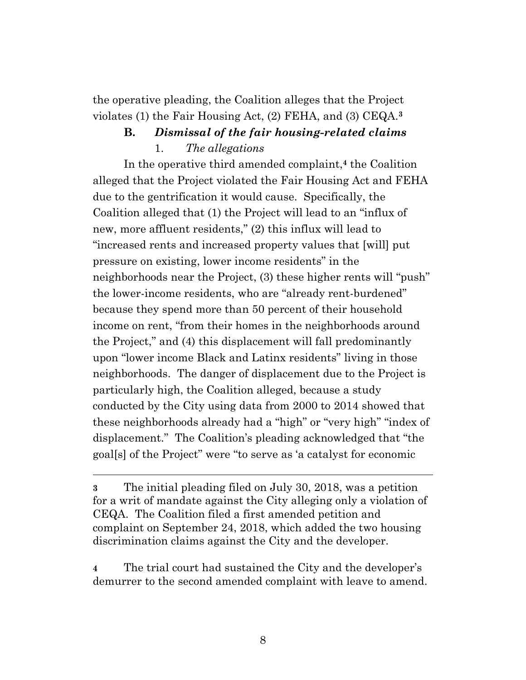the operative pleading, the Coalition alleges that the Project violates (1) the Fair Housing Act, (2) FEHA, and (3) CEQA.**<sup>3</sup>**

## **B.** *Dismissal of the fair housing-related claims*

1. *The allegations*

In the operative third amended complaint,**<sup>4</sup>** the Coalition alleged that the Project violated the Fair Housing Act and FEHA due to the gentrification it would cause. Specifically, the Coalition alleged that (1) the Project will lead to an "influx of new, more affluent residents," (2) this influx will lead to "increased rents and increased property values that [will] put pressure on existing, lower income residents" in the neighborhoods near the Project, (3) these higher rents will "push" the lower-income residents, who are "already rent-burdened" because they spend more than 50 percent of their household income on rent, "from their homes in the neighborhoods around the Project," and (4) this displacement will fall predominantly upon "lower income Black and Latinx residents" living in those neighborhoods. The danger of displacement due to the Project is particularly high, the Coalition alleged, because a study conducted by the City using data from 2000 to 2014 showed that these neighborhoods already had a "high" or "very high" "index of displacement." The Coalition's pleading acknowledged that "the goal[s] of the Project" were "to serve as 'a catalyst for economic

**4** The trial court had sustained the City and the developer's demurrer to the second amended complaint with leave to amend.

**<sup>3</sup>** The initial pleading filed on July 30, 2018, was a petition for a writ of mandate against the City alleging only a violation of CEQA. The Coalition filed a first amended petition and complaint on September 24, 2018, which added the two housing discrimination claims against the City and the developer.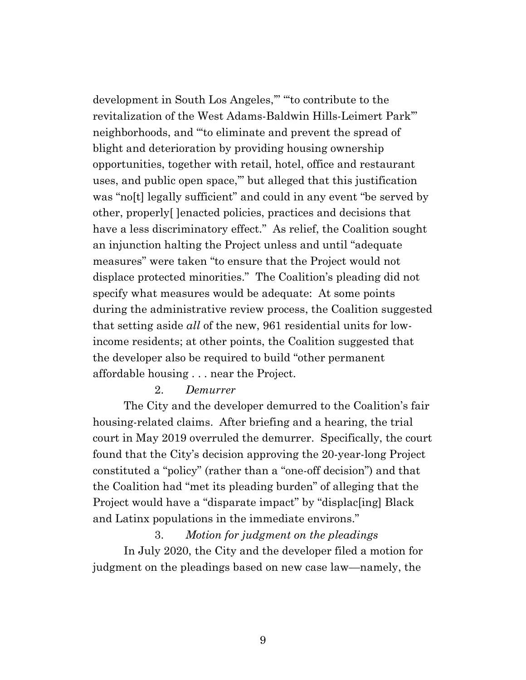development in South Los Angeles,'" "'to contribute to the revitalization of the West Adams-Baldwin Hills-Leimert Park'" neighborhoods, and "'to eliminate and prevent the spread of blight and deterioration by providing housing ownership opportunities, together with retail, hotel, office and restaurant uses, and public open space,'" but alleged that this justification was "no[t] legally sufficient" and could in any event "be served by other, properly[ ]enacted policies, practices and decisions that have a less discriminatory effect." As relief, the Coalition sought an injunction halting the Project unless and until "adequate measures" were taken "to ensure that the Project would not displace protected minorities." The Coalition's pleading did not specify what measures would be adequate: At some points during the administrative review process, the Coalition suggested that setting aside *all* of the new, 961 residential units for lowincome residents; at other points, the Coalition suggested that the developer also be required to build "other permanent affordable housing . . . near the Project.

## 2. *Demurrer*

The City and the developer demurred to the Coalition's fair housing-related claims. After briefing and a hearing, the trial court in May 2019 overruled the demurrer. Specifically, the court found that the City's decision approving the 20-year-long Project constituted a "policy" (rather than a "one-off decision") and that the Coalition had "met its pleading burden" of alleging that the Project would have a "disparate impact" by "displac[ing] Black and Latinx populations in the immediate environs."

## 3. *Motion for judgment on the pleadings*

In July 2020, the City and the developer filed a motion for judgment on the pleadings based on new case law—namely, the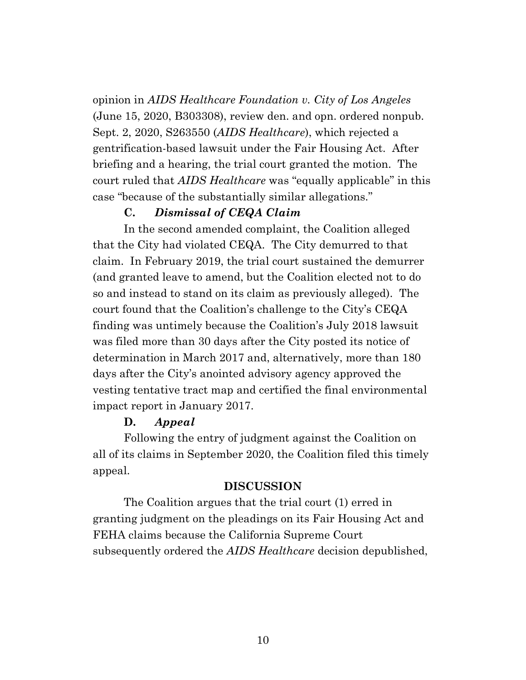opinion in *AIDS Healthcare Foundation v. City of Los Angeles* (June 15, 2020, B303308), review den. and opn. ordered nonpub. Sept. 2, 2020, S263550 (*AIDS Healthcare*), which rejected a gentrification-based lawsuit under the Fair Housing Act. After briefing and a hearing, the trial court granted the motion. The court ruled that *AIDS Healthcare* was "equally applicable" in this case "because of the substantially similar allegations."

### **C.** *Dismissal of CEQA Claim*

In the second amended complaint, the Coalition alleged that the City had violated CEQA. The City demurred to that claim. In February 2019, the trial court sustained the demurrer (and granted leave to amend, but the Coalition elected not to do so and instead to stand on its claim as previously alleged). The court found that the Coalition's challenge to the City's CEQA finding was untimely because the Coalition's July 2018 lawsuit was filed more than 30 days after the City posted its notice of determination in March 2017 and, alternatively, more than 180 days after the City's anointed advisory agency approved the vesting tentative tract map and certified the final environmental impact report in January 2017.

## **D.** *Appeal*

Following the entry of judgment against the Coalition on all of its claims in September 2020, the Coalition filed this timely appeal.

### **DISCUSSION**

The Coalition argues that the trial court (1) erred in granting judgment on the pleadings on its Fair Housing Act and FEHA claims because the California Supreme Court subsequently ordered the *AIDS Healthcare* decision depublished,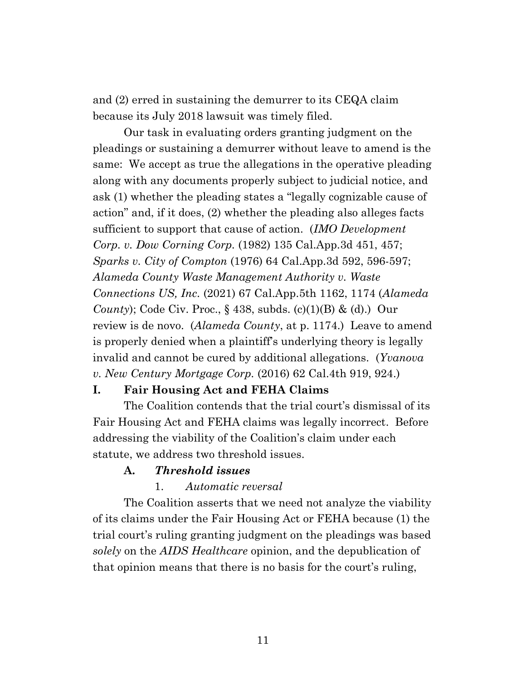and (2) erred in sustaining the demurrer to its CEQA claim because its July 2018 lawsuit was timely filed.

Our task in evaluating orders granting judgment on the pleadings or sustaining a demurrer without leave to amend is the same: We accept as true the allegations in the operative pleading along with any documents properly subject to judicial notice, and ask (1) whether the pleading states a "legally cognizable cause of action" and, if it does, (2) whether the pleading also alleges facts sufficient to support that cause of action. (*IMO Development Corp. v. Dow Corning Corp.* (1982) 135 Cal.App.3d 451, 457; *Sparks v. City of Compton* (1976) 64 Cal.App.3d 592, 596-597; *Alameda County Waste Management Authority v. Waste Connections US, Inc.* (2021) 67 Cal.App.5th 1162, 1174 (*Alameda County*); Code Civ. Proc., § 438, subds. (c)(1)(B) & (d).) Our review is de novo. (*Alameda County*, at p. 1174.) Leave to amend is properly denied when a plaintiff's underlying theory is legally invalid and cannot be cured by additional allegations. (*Yvanova v. New Century Mortgage Corp.* (2016) 62 Cal.4th 919, 924.)

## **I. Fair Housing Act and FEHA Claims**

The Coalition contends that the trial court's dismissal of its Fair Housing Act and FEHA claims was legally incorrect. Before addressing the viability of the Coalition's claim under each statute, we address two threshold issues.

### **A.** *Threshold issues*

1. *Automatic reversal*

The Coalition asserts that we need not analyze the viability of its claims under the Fair Housing Act or FEHA because (1) the trial court's ruling granting judgment on the pleadings was based *solely* on the *AIDS Healthcare* opinion, and the depublication of that opinion means that there is no basis for the court's ruling,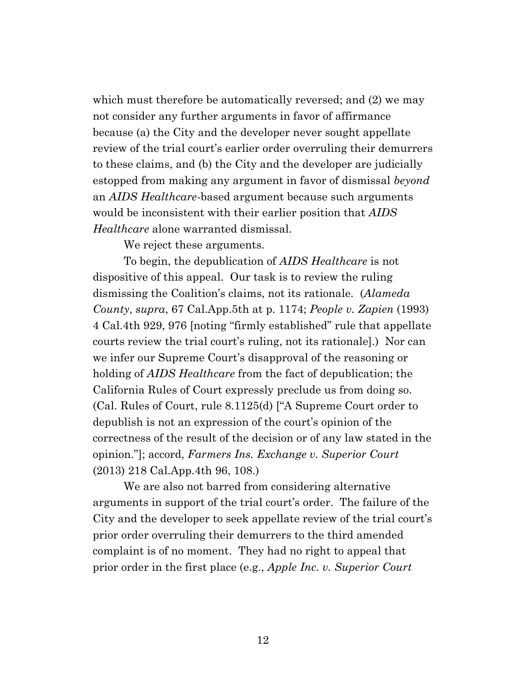which must therefore be automatically reversed; and  $(2)$  we may not consider any further arguments in favor of affirmance because (a) the City and the developer never sought appellate review of the trial court's earlier order overruling their demurrers to these claims, and (b) the City and the developer are judicially estopped from making any argument in favor of dismissal *beyond* an *AIDS Healthcare*-based argument because such arguments would be inconsistent with their earlier position that *AIDS Healthcare* alone warranted dismissal.

We reject these arguments.

To begin, the depublication of *AIDS Healthcare* is not dispositive of this appeal. Our task is to review the ruling dismissing the Coalition's claims, not its rationale*.* (*Alameda County*, *supra*, 67 Cal.App.5th at p. 1174; *People v. Zapien* (1993) 4 Cal.4th 929, 976 [noting "firmly established" rule that appellate courts review the trial court's ruling, not its rationale].) Nor can we infer our Supreme Court's disapproval of the reasoning or holding of *AIDS Healthcare* from the fact of depublication; the California Rules of Court expressly preclude us from doing so. (Cal. Rules of Court, rule 8.1125(d) ["A Supreme Court order to depublish is not an expression of the court's opinion of the correctness of the result of the decision or of any law stated in the opinion."]; accord, *Farmers Ins. Exchange v. Superior Court*  (2013) 218 Cal.App.4th 96, 108.)

We are also not barred from considering alternative arguments in support of the trial court's order. The failure of the City and the developer to seek appellate review of the trial court's prior order overruling their demurrers to the third amended complaint is of no moment. They had no right to appeal that prior order in the first place (e.g., *Apple Inc. v. Superior Court*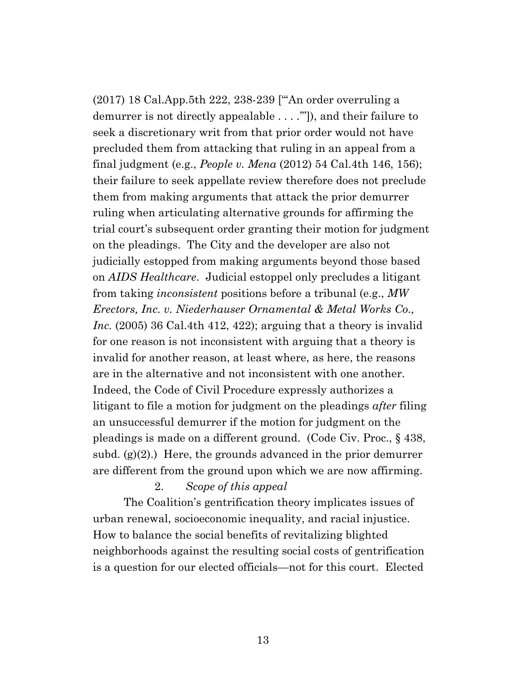(2017) 18 Cal.App.5th 222, 238-239 ["'An order overruling a demurrer is not directly appealable . . . .'"]), and their failure to seek a discretionary writ from that prior order would not have precluded them from attacking that ruling in an appeal from a final judgment (e.g., *People v. Mena* (2012) 54 Cal.4th 146, 156); their failure to seek appellate review therefore does not preclude them from making arguments that attack the prior demurrer ruling when articulating alternative grounds for affirming the trial court's subsequent order granting their motion for judgment on the pleadings. The City and the developer are also not judicially estopped from making arguments beyond those based on *AIDS Healthcare*. Judicial estoppel only precludes a litigant from taking *inconsistent* positions before a tribunal (e.g., *MW Erectors, Inc. v. Niederhauser Ornamental & Metal Works Co., Inc.* (2005) 36 Cal.4th 412, 422); arguing that a theory is invalid for one reason is not inconsistent with arguing that a theory is invalid for another reason, at least where, as here, the reasons are in the alternative and not inconsistent with one another. Indeed, the Code of Civil Procedure expressly authorizes a litigant to file a motion for judgment on the pleadings *after* filing an unsuccessful demurrer if the motion for judgment on the pleadings is made on a different ground. (Code Civ. Proc., § 438, subd.  $(g)(2)$ .) Here, the grounds advanced in the prior demurrer are different from the ground upon which we are now affirming.

2. *Scope of this appeal*

The Coalition's gentrification theory implicates issues of urban renewal, socioeconomic inequality, and racial injustice. How to balance the social benefits of revitalizing blighted neighborhoods against the resulting social costs of gentrification is a question for our elected officials—not for this court. Elected

13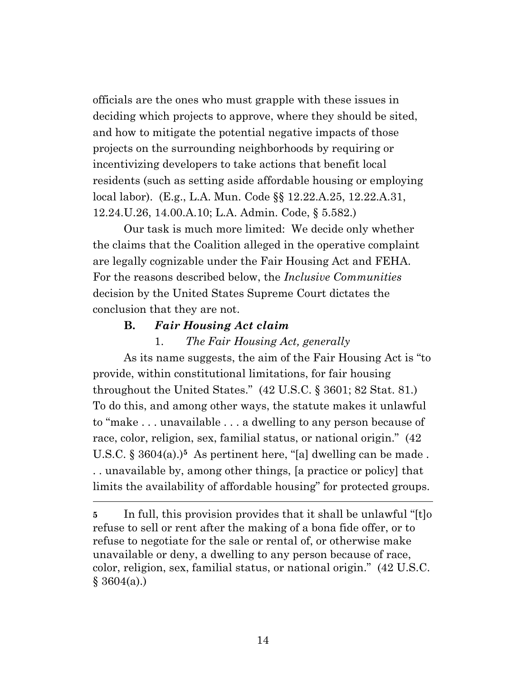officials are the ones who must grapple with these issues in deciding which projects to approve, where they should be sited, and how to mitigate the potential negative impacts of those projects on the surrounding neighborhoods by requiring or incentivizing developers to take actions that benefit local residents (such as setting aside affordable housing or employing local labor). (E.g., L.A. Mun. Code §§ 12.22.A.25, 12.22.A.31, 12.24.U.26, 14.00.A.10; L.A. Admin. Code, § 5.582.)

Our task is much more limited: We decide only whether the claims that the Coalition alleged in the operative complaint are legally cognizable under the Fair Housing Act and FEHA. For the reasons described below, the *Inclusive Communities* decision by the United States Supreme Court dictates the conclusion that they are not.

## **B.** *Fair Housing Act claim*

### 1. *The Fair Housing Act, generally*

As its name suggests, the aim of the Fair Housing Act is "to provide, within constitutional limitations, for fair housing throughout the United States." (42 U.S.C. § 3601; 82 Stat. 81.) To do this, and among other ways, the statute makes it unlawful to "make . . . unavailable . . . a dwelling to any person because of race, color, religion, sex, familial status, or national origin." (42 U.S.C. § 3604(a).)**<sup>5</sup>** As pertinent here, "[a] dwelling can be made . . . unavailable by, among other things, [a practice or policy] that limits the availability of affordable housing" for protected groups.

**5** In full, this provision provides that it shall be unlawful "[t]o refuse to sell or rent after the making of a bona fide offer, or to refuse to negotiate for the sale or rental of, or otherwise make unavailable or deny, a dwelling to any person because of race, color, religion, sex, familial status, or national origin." (42 U.S.C.  $$3604(a)$ .)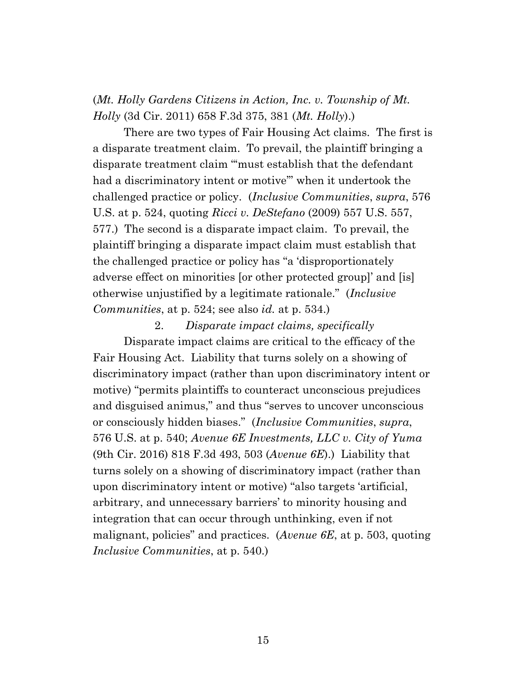(*Mt. Holly Gardens Citizens in Action, Inc. v. Township of Mt. Holly* (3d Cir. 2011) 658 F.3d 375, 381 (*Mt. Holly*).)

There are two types of Fair Housing Act claims. The first is a disparate treatment claim. To prevail, the plaintiff bringing a disparate treatment claim "'must establish that the defendant had a discriminatory intent or motive'" when it undertook the challenged practice or policy. (*Inclusive Communities*, *supra*, 576 U.S. at p. 524, quoting *Ricci v. DeStefano* (2009) 557 U.S. 557, 577.) The second is a disparate impact claim. To prevail, the plaintiff bringing a disparate impact claim must establish that the challenged practice or policy has "a 'disproportionately adverse effect on minorities [or other protected group]' and [is] otherwise unjustified by a legitimate rationale." (*Inclusive Communities*, at p. 524; see also *id.* at p. 534.)

#### 2. *Disparate impact claims, specifically*

Disparate impact claims are critical to the efficacy of the Fair Housing Act. Liability that turns solely on a showing of discriminatory impact (rather than upon discriminatory intent or motive) "permits plaintiffs to counteract unconscious prejudices and disguised animus," and thus "serves to uncover unconscious or consciously hidden biases." (*Inclusive Communities*, *supra*, 576 U.S. at p. 540; *Avenue 6E Investments, LLC v. City of Yuma* (9th Cir. 2016) 818 F.3d 493, 503 (*Avenue 6E*).) Liability that turns solely on a showing of discriminatory impact (rather than upon discriminatory intent or motive) "also targets 'artificial, arbitrary, and unnecessary barriers' to minority housing and integration that can occur through unthinking, even if not malignant, policies" and practices. (*Avenue 6E*, at p. 503, quoting *Inclusive Communities*, at p. 540.)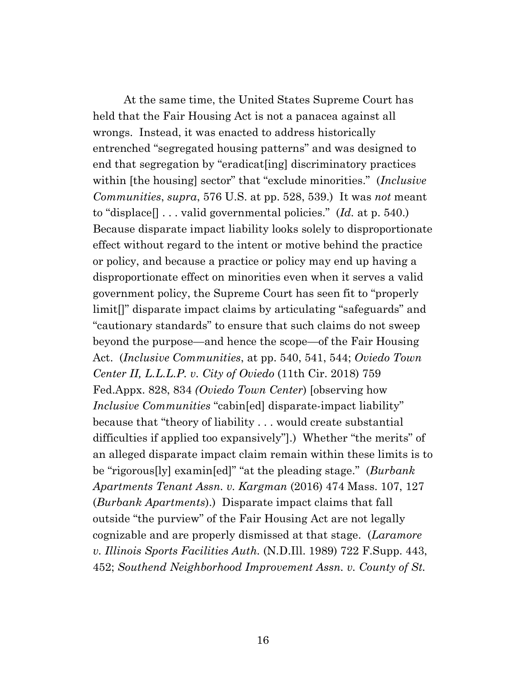At the same time, the United States Supreme Court has held that the Fair Housing Act is not a panacea against all wrongs. Instead, it was enacted to address historically entrenched "segregated housing patterns" and was designed to end that segregation by "eradicat[ing] discriminatory practices within [the housing] sector" that "exclude minorities." (*Inclusive Communities*, *supra*, 576 U.S. at pp. 528, 539.) It was *not* meant to "displace[] . . . valid governmental policies." (*Id.* at p. 540.) Because disparate impact liability looks solely to disproportionate effect without regard to the intent or motive behind the practice or policy, and because a practice or policy may end up having a disproportionate effect on minorities even when it serves a valid government policy, the Supreme Court has seen fit to "properly limit[]" disparate impact claims by articulating "safeguards" and "cautionary standards" to ensure that such claims do not sweep beyond the purpose—and hence the scope—of the Fair Housing Act. (*Inclusive Communities*, at pp. 540, 541, 544; *Oviedo Town Center II, L.L.L.P. v. City of Oviedo* (11th Cir. 2018) 759 Fed.Appx. 828, 834 *(Oviedo Town Center*) [observing how *Inclusive Communities* "cabin[ed] disparate-impact liability" because that "theory of liability . . . would create substantial difficulties if applied too expansively"].) Whether "the merits" of an alleged disparate impact claim remain within these limits is to be "rigorous[ly] examin[ed]" "at the pleading stage." (*Burbank Apartments Tenant Assn. v. Kargman* (2016) 474 Mass. 107, 127 (*Burbank Apartments*).) Disparate impact claims that fall outside "the purview" of the Fair Housing Act are not legally cognizable and are properly dismissed at that stage. (*Laramore v. Illinois Sports Facilities Auth.* (N.D.Ill. 1989) 722 F.Supp. 443, 452; *Southend Neighborhood Improvement Assn. v. County of St.*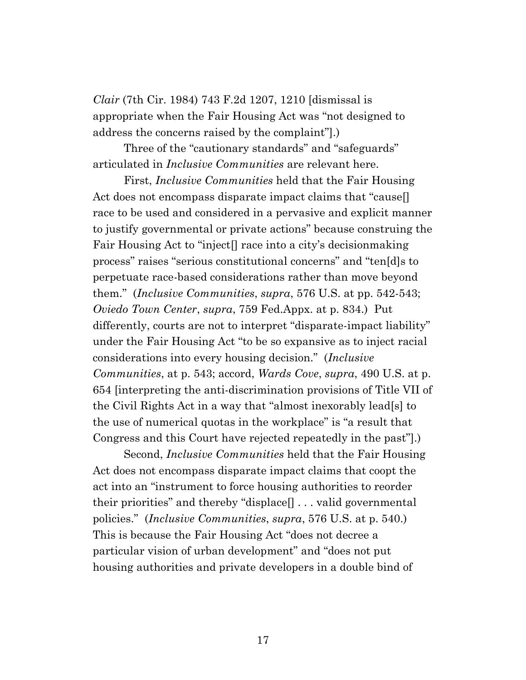*Clair* (7th Cir. 1984) 743 F.2d 1207, 1210 [dismissal is appropriate when the Fair Housing Act was "not designed to address the concerns raised by the complaint"].)

Three of the "cautionary standards" and "safeguards" articulated in *Inclusive Communities* are relevant here.

First, *Inclusive Communities* held that the Fair Housing Act does not encompass disparate impact claims that "cause. race to be used and considered in a pervasive and explicit manner to justify governmental or private actions" because construing the Fair Housing Act to "inject[] race into a city's decisionmaking process" raises "serious constitutional concerns" and "ten[d]s to perpetuate race-based considerations rather than move beyond them." (*Inclusive Communities*, *supra*, 576 U.S. at pp. 542-543; *Oviedo Town Center*, *supra*, 759 Fed.Appx. at p. 834.) Put differently, courts are not to interpret "disparate-impact liability" under the Fair Housing Act "to be so expansive as to inject racial considerations into every housing decision." (*Inclusive Communities*, at p. 543; accord, *Wards Cove*, *supra*, 490 U.S. at p. 654 [interpreting the anti-discrimination provisions of Title VII of the Civil Rights Act in a way that "almost inexorably lead[s] to the use of numerical quotas in the workplace" is "a result that Congress and this Court have rejected repeatedly in the past"].)

Second, *Inclusive Communities* held that the Fair Housing Act does not encompass disparate impact claims that coopt the act into an "instrument to force housing authorities to reorder their priorities" and thereby "displace[] . . . valid governmental policies." (*Inclusive Communities*, *supra*, 576 U.S. at p. 540.) This is because the Fair Housing Act "does not decree a particular vision of urban development" and "does not put housing authorities and private developers in a double bind of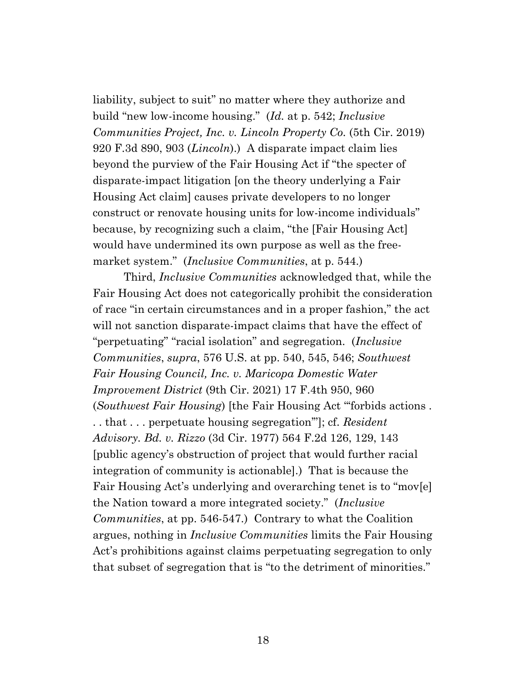liability, subject to suit" no matter where they authorize and build "new low-income housing." (*Id.* at p. 542; *Inclusive Communities Project, Inc. v. Lincoln Property Co.* (5th Cir. 2019) 920 F.3d 890, 903 (*Lincoln*).) A disparate impact claim lies beyond the purview of the Fair Housing Act if "the specter of disparate-impact litigation [on the theory underlying a Fair Housing Act claim] causes private developers to no longer construct or renovate housing units for low-income individuals" because, by recognizing such a claim, "the [Fair Housing Act] would have undermined its own purpose as well as the freemarket system." (*Inclusive Communities*, at p. 544.)

Third, *Inclusive Communities* acknowledged that, while the Fair Housing Act does not categorically prohibit the consideration of race "in certain circumstances and in a proper fashion," the act will not sanction disparate-impact claims that have the effect of "perpetuating" "racial isolation" and segregation. (*Inclusive Communities*, *supra*, 576 U.S. at pp. 540, 545, 546; *Southwest Fair Housing Council, Inc. v. Maricopa Domestic Water Improvement District* (9th Cir. 2021) 17 F.4th 950, 960 (*Southwest Fair Housing*) [the Fair Housing Act "'forbids actions . . . that . . . perpetuate housing segregation'"]; cf. *Resident Advisory. Bd. v. Rizzo* (3d Cir. 1977) 564 F.2d 126, 129, 143 [public agency's obstruction of project that would further racial integration of community is actionable].) That is because the Fair Housing Act's underlying and overarching tenet is to "mov[e] the Nation toward a more integrated society." (*Inclusive Communities*, at pp. 546-547.) Contrary to what the Coalition argues, nothing in *Inclusive Communities* limits the Fair Housing Act's prohibitions against claims perpetuating segregation to only that subset of segregation that is "to the detriment of minorities."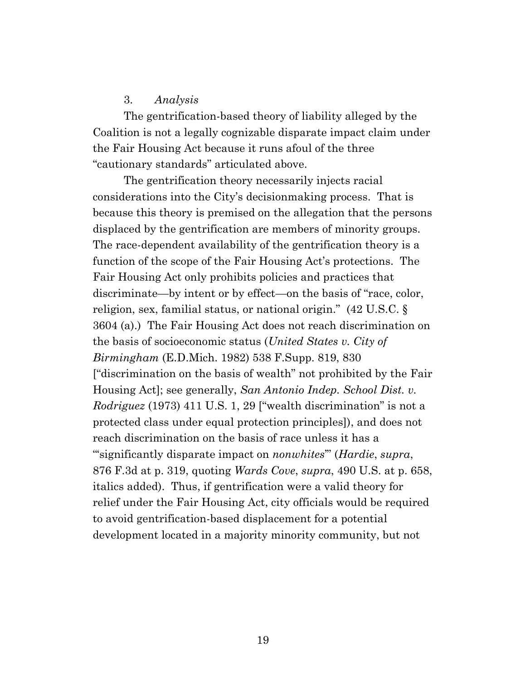### 3. *Analysis*

The gentrification-based theory of liability alleged by the Coalition is not a legally cognizable disparate impact claim under the Fair Housing Act because it runs afoul of the three "cautionary standards" articulated above.

The gentrification theory necessarily injects racial considerations into the City's decisionmaking process. That is because this theory is premised on the allegation that the persons displaced by the gentrification are members of minority groups. The race-dependent availability of the gentrification theory is a function of the scope of the Fair Housing Act's protections. The Fair Housing Act only prohibits policies and practices that discriminate—by intent or by effect—on the basis of "race, color, religion, sex, familial status, or national origin." (42 U.S.C. § 3604 (a).) The Fair Housing Act does not reach discrimination on the basis of socioeconomic status (*United States v. City of Birmingham* (E.D.Mich. 1982) 538 F.Supp. 819, 830 ["discrimination on the basis of wealth" not prohibited by the Fair Housing Act]; see generally, *San Antonio Indep. School Dist. v. Rodriguez* (1973) 411 U.S. 1, 29 ["wealth discrimination" is not a protected class under equal protection principles]), and does not reach discrimination on the basis of race unless it has a "'significantly disparate impact on *nonwhites*'" (*Hardie*, *supra*, 876 F.3d at p. 319, quoting *Wards Cove*, *supra*, 490 U.S. at p. 658, italics added). Thus, if gentrification were a valid theory for relief under the Fair Housing Act, city officials would be required to avoid gentrification-based displacement for a potential development located in a majority minority community, but not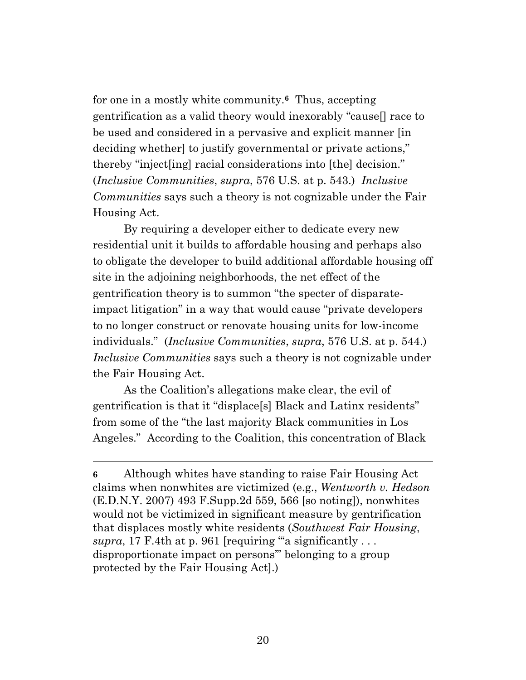for one in a mostly white community.**6** Thus, accepting gentrification as a valid theory would inexorably "cause[] race to be used and considered in a pervasive and explicit manner [in deciding whether] to justify governmental or private actions," thereby "inject[ing] racial considerations into [the] decision." (*Inclusive Communities*, *supra*, 576 U.S. at p. 543.) *Inclusive Communities* says such a theory is not cognizable under the Fair Housing Act.

By requiring a developer either to dedicate every new residential unit it builds to affordable housing and perhaps also to obligate the developer to build additional affordable housing off site in the adjoining neighborhoods, the net effect of the gentrification theory is to summon "the specter of disparateimpact litigation" in a way that would cause "private developers to no longer construct or renovate housing units for low-income individuals." (*Inclusive Communities*, *supra*, 576 U.S. at p. 544.) *Inclusive Communities* says such a theory is not cognizable under the Fair Housing Act.

As the Coalition's allegations make clear, the evil of gentrification is that it "displace[s] Black and Latinx residents" from some of the "the last majority Black communities in Los Angeles." According to the Coalition, this concentration of Black

**<sup>6</sup>** Although whites have standing to raise Fair Housing Act claims when nonwhites are victimized (e.g., *Wentworth v. Hedson*  (E.D.N.Y. 2007) 493 F.Supp.2d 559, 566 [so noting]), nonwhites would not be victimized in significant measure by gentrification that displaces mostly white residents (*Southwest Fair Housing*, *supra*, 17 F.4th at p. 961 [requiring "a significantly  $\ldots$ disproportionate impact on persons'" belonging to a group protected by the Fair Housing Act].)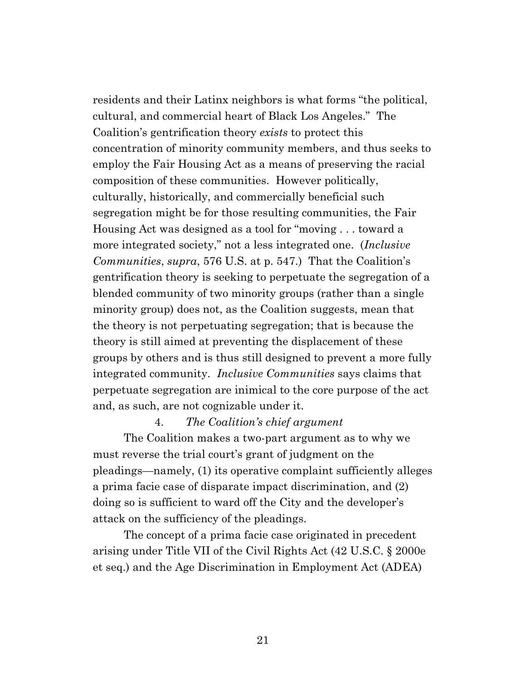residents and their Latinx neighbors is what forms "the political, cultural, and commercial heart of Black Los Angeles." The Coalition's gentrification theory *exists* to protect this concentration of minority community members, and thus seeks to employ the Fair Housing Act as a means of preserving the racial composition of these communities. However politically, culturally, historically, and commercially beneficial such segregation might be for those resulting communities, the Fair Housing Act was designed as a tool for "moving . . . toward a more integrated society," not a less integrated one. (*Inclusive Communities*, *supra*, 576 U.S. at p. 547.) That the Coalition's gentrification theory is seeking to perpetuate the segregation of a blended community of two minority groups (rather than a single minority group) does not, as the Coalition suggests, mean that the theory is not perpetuating segregation; that is because the theory is still aimed at preventing the displacement of these groups by others and is thus still designed to prevent a more fully integrated community. *Inclusive Communities* says claims that perpetuate segregation are inimical to the core purpose of the act and, as such, are not cognizable under it.

### 4. *The Coalition's chief argument*

The Coalition makes a two-part argument as to why we must reverse the trial court's grant of judgment on the pleadings—namely, (1) its operative complaint sufficiently alleges a prima facie case of disparate impact discrimination, and (2) doing so is sufficient to ward off the City and the developer's attack on the sufficiency of the pleadings.

The concept of a prima facie case originated in precedent arising under Title VII of the Civil Rights Act (42 U.S.C. § 2000e et seq.) and the Age Discrimination in Employment Act (ADEA)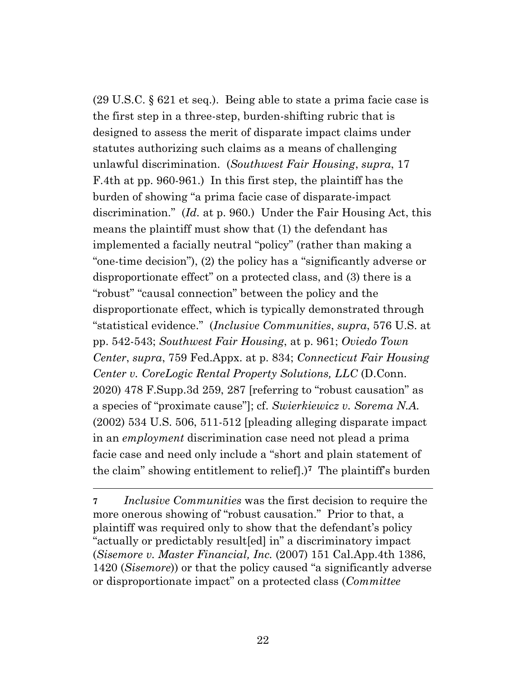(29 U.S.C. § 621 et seq.). Being able to state a prima facie case is the first step in a three-step, burden-shifting rubric that is designed to assess the merit of disparate impact claims under statutes authorizing such claims as a means of challenging unlawful discrimination. (*Southwest Fair Housing*, *supra*, 17 F.4th at pp. 960-961.) In this first step, the plaintiff has the burden of showing "a prima facie case of disparate-impact discrimination." (*Id.* at p. 960.) Under the Fair Housing Act, this means the plaintiff must show that (1) the defendant has implemented a facially neutral "policy" (rather than making a "one-time decision"), (2) the policy has a "significantly adverse or disproportionate effect" on a protected class, and (3) there is a "robust" "causal connection" between the policy and the disproportionate effect, which is typically demonstrated through "statistical evidence." (*Inclusive Communities*, *supra*, 576 U.S. at pp. 542-543; *Southwest Fair Housing*, at p. 961; *Oviedo Town Center*, *supra*, 759 Fed.Appx. at p. 834; *Connecticut Fair Housing Center v. CoreLogic Rental Property Solutions, LLC* (D.Conn. 2020) 478 F.Supp.3d 259, 287 [referring to "robust causation" as a species of "proximate cause"]; cf. *Swierkiewicz v. Sorema N.A.* (2002) 534 U.S. 506, 511-512 [pleading alleging disparate impact in an *employment* discrimination case need not plead a prima facie case and need only include a "short and plain statement of the claim" showing entitlement to relief].) **<sup>7</sup>** The plaintiff's burden

**7** *Inclusive Communities* was the first decision to require the more onerous showing of "robust causation." Prior to that, a plaintiff was required only to show that the defendant's policy "actually or predictably result[ed] in" a discriminatory impact (*Sisemore v. Master Financial, Inc.* (2007) 151 Cal.App.4th 1386, 1420 (*Sisemore*)) or that the policy caused "a significantly adverse or disproportionate impact" on a protected class (*Committee*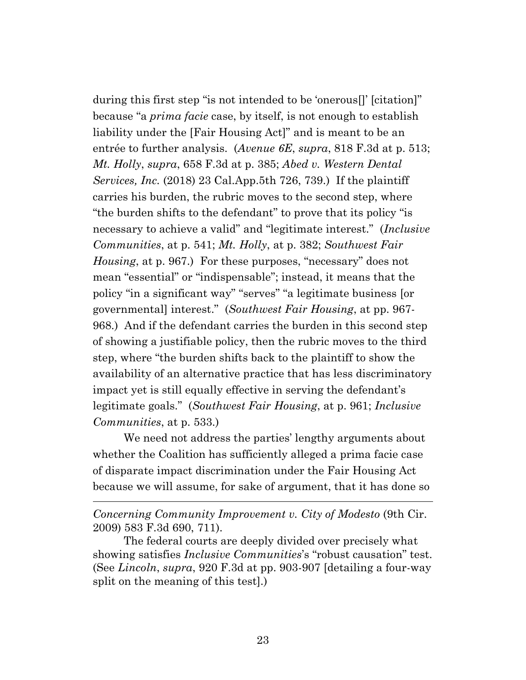during this first step "is not intended to be 'onerous[]' [citation]" because "a *prima facie* case, by itself, is not enough to establish liability under the [Fair Housing Act]" and is meant to be an entrée to further analysis. (*Avenue 6E*, *supra*, 818 F.3d at p. 513; *Mt. Holly*, *supra*, 658 F.3d at p. 385; *Abed v. Western Dental Services, Inc.* (2018) 23 Cal.App.5th 726, 739.) If the plaintiff carries his burden, the rubric moves to the second step, where "the burden shifts to the defendant" to prove that its policy "is necessary to achieve a valid" and "legitimate interest." (*Inclusive Communities*, at p. 541; *Mt. Holly*, at p. 382; *Southwest Fair Housing*, at p. 967.) For these purposes, "necessary" does not mean "essential" or "indispensable"; instead, it means that the policy "in a significant way" "serves" "a legitimate business [or governmental] interest." (*Southwest Fair Housing*, at pp. 967- 968.) And if the defendant carries the burden in this second step of showing a justifiable policy, then the rubric moves to the third step, where "the burden shifts back to the plaintiff to show the availability of an alternative practice that has less discriminatory impact yet is still equally effective in serving the defendant's legitimate goals." (*Southwest Fair Housing*, at p. 961; *Inclusive Communities*, at p. 533.)

We need not address the parties' lengthy arguments about whether the Coalition has sufficiently alleged a prima facie case of disparate impact discrimination under the Fair Housing Act because we will assume, for sake of argument, that it has done so

*Concerning Community Improvement v. City of Modesto* (9th Cir. 2009) 583 F.3d 690, 711).

The federal courts are deeply divided over precisely what showing satisfies *Inclusive Communities*'s "robust causation" test. (See *Lincoln*, *supra*, 920 F.3d at pp. 903-907 [detailing a four-way split on the meaning of this test].)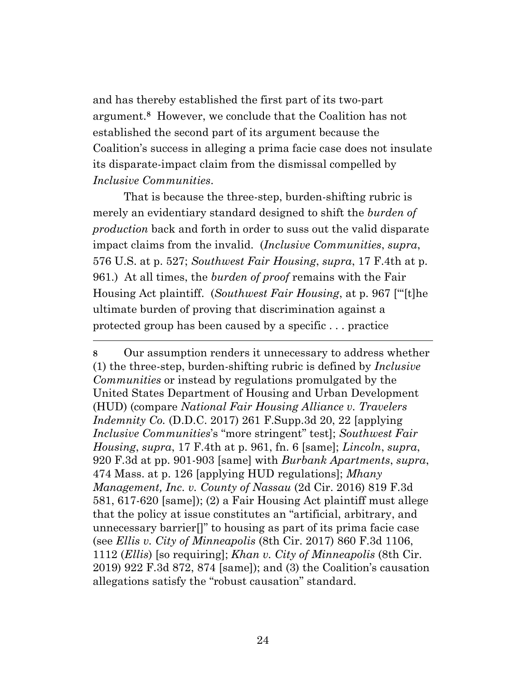and has thereby established the first part of its two-part argument. **<sup>8</sup>** However, we conclude that the Coalition has not established the second part of its argument because the Coalition's success in alleging a prima facie case does not insulate its disparate-impact claim from the dismissal compelled by *Inclusive Communities*.

That is because the three-step, burden-shifting rubric is merely an evidentiary standard designed to shift the *burden of production* back and forth in order to suss out the valid disparate impact claims from the invalid. (*Inclusive Communities*, *supra*, 576 U.S. at p. 527; *Southwest Fair Housing*, *supra*, 17 F.4th at p. 961.) At all times, the *burden of proof* remains with the Fair Housing Act plaintiff. (*Southwest Fair Housing*, at p. 967 ["'[t]he ultimate burden of proving that discrimination against a protected group has been caused by a specific . . . practice

**8** Our assumption renders it unnecessary to address whether (1) the three-step, burden-shifting rubric is defined by *Inclusive Communities* or instead by regulations promulgated by the United States Department of Housing and Urban Development (HUD) (compare *National Fair Housing Alliance v. Travelers Indemnity Co.* (D.D.C. 2017) 261 F.Supp.3d 20, 22 [applying *Inclusive Communities*'s "more stringent" test]; *Southwest Fair Housing*, *supra*, 17 F.4th at p. 961, fn. 6 [same]; *Lincoln*, *supra*, 920 F.3d at pp. 901-903 [same] with *Burbank Apartments*, *supra*, 474 Mass. at p. 126 [applying HUD regulations]; *Mhany Management, Inc. v. County of Nassau* (2d Cir. 2016) 819 F.3d 581, 617-620 [same]); (2) a Fair Housing Act plaintiff must allege that the policy at issue constitutes an "artificial, arbitrary, and unnecessary barrier[]" to housing as part of its prima facie case (see *Ellis v. City of Minneapolis* (8th Cir. 2017) 860 F.3d 1106, 1112 (*Ellis*) [so requiring]; *Khan v. City of Minneapolis* (8th Cir. 2019) 922 F.3d 872, 874 [same]); and (3) the Coalition's causation allegations satisfy the "robust causation" standard.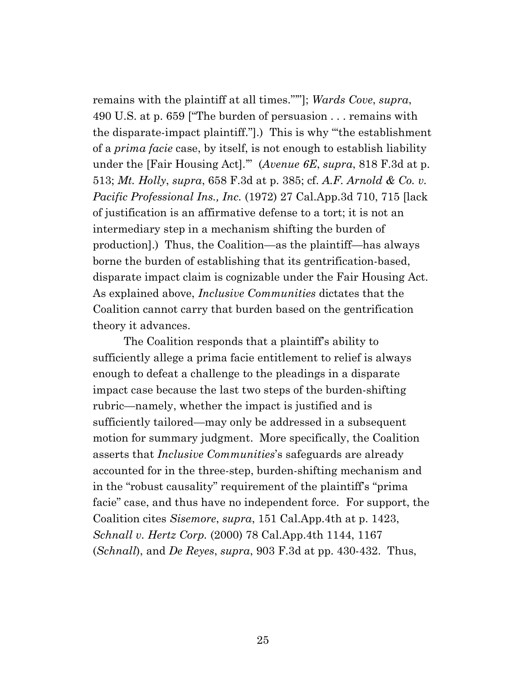remains with the plaintiff at all times."'"]; *Wards Cove*, *supra*, 490 U.S. at p. 659 ["The burden of persuasion . . . remains with the disparate-impact plaintiff."].) This is why "'the establishment of a *prima facie* case, by itself, is not enough to establish liability under the [Fair Housing Act].'" (*Avenue 6E*, *supra*, 818 F.3d at p. 513; *Mt. Holly*, *supra*, 658 F.3d at p. 385; cf. *A.F. Arnold & Co. v. Pacific Professional Ins., Inc.* (1972) 27 Cal.App.3d 710, 715 [lack of justification is an affirmative defense to a tort; it is not an intermediary step in a mechanism shifting the burden of production].) Thus, the Coalition—as the plaintiff—has always borne the burden of establishing that its gentrification-based, disparate impact claim is cognizable under the Fair Housing Act. As explained above, *Inclusive Communities* dictates that the Coalition cannot carry that burden based on the gentrification theory it advances.

The Coalition responds that a plaintiff's ability to sufficiently allege a prima facie entitlement to relief is always enough to defeat a challenge to the pleadings in a disparate impact case because the last two steps of the burden-shifting rubric—namely, whether the impact is justified and is sufficiently tailored—may only be addressed in a subsequent motion for summary judgment. More specifically, the Coalition asserts that *Inclusive Communities*'s safeguards are already accounted for in the three-step, burden-shifting mechanism and in the "robust causality" requirement of the plaintiff's "prima facie" case, and thus have no independent force. For support, the Coalition cites *Sisemore*, *supra*, 151 Cal.App.4th at p. 1423, *Schnall v. Hertz Corp.* (2000) 78 Cal.App.4th 1144, 1167 (*Schnall*), and *De Reyes*, *supra*, 903 F.3d at pp. 430-432. Thus,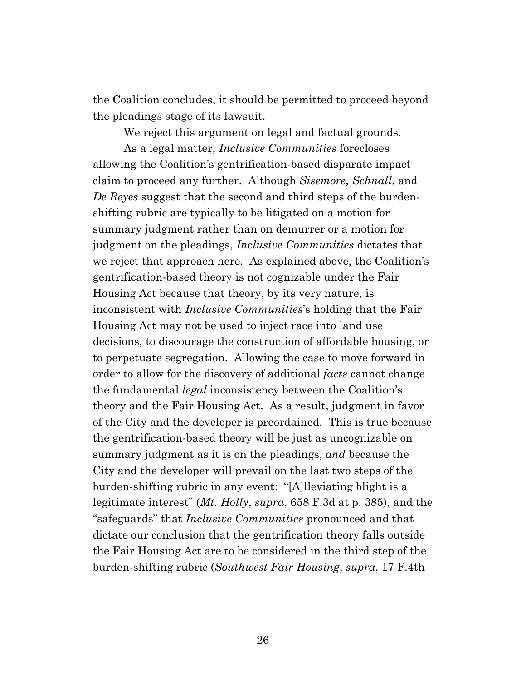the Coalition concludes, it should be permitted to proceed beyond the pleadings stage of its lawsuit.

We reject this argument on legal and factual grounds.

As a legal matter, *Inclusive Communities* forecloses allowing the Coalition's gentrification-based disparate impact claim to proceed any further. Although *Sisemore*, *Schnall*, and *De Reyes* suggest that the second and third steps of the burdenshifting rubric are typically to be litigated on a motion for summary judgment rather than on demurrer or a motion for judgment on the pleadings, *Inclusive Communities* dictates that we reject that approach here. As explained above, the Coalition's gentrification-based theory is not cognizable under the Fair Housing Act because that theory, by its very nature, is inconsistent with *Inclusive Communities*'s holding that the Fair Housing Act may not be used to inject race into land use decisions, to discourage the construction of affordable housing, or to perpetuate segregation. Allowing the case to move forward in order to allow for the discovery of additional *facts* cannot change the fundamental *legal* inconsistency between the Coalition's theory and the Fair Housing Act. As a result, judgment in favor of the City and the developer is preordained. This is true because the gentrification-based theory will be just as uncognizable on summary judgment as it is on the pleadings, *and* because the City and the developer will prevail on the last two steps of the burden-shifting rubric in any event: "[A]lleviating blight is a legitimate interest" (*Mt. Holly*, *supra*, 658 F.3d at p. 385), and the "safeguards" that *Inclusive Communities* pronounced and that dictate our conclusion that the gentrification theory falls outside the Fair Housing Act are to be considered in the third step of the burden-shifting rubric (*Southwest Fair Housing*, *supra*, 17 F.4th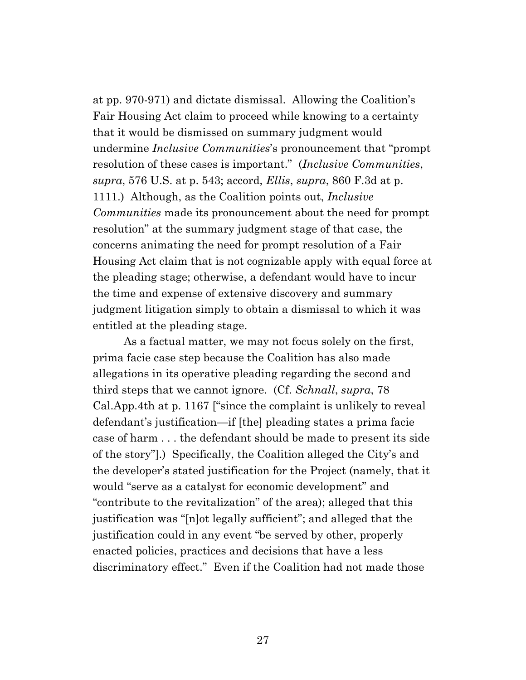at pp. 970-971) and dictate dismissal. Allowing the Coalition's Fair Housing Act claim to proceed while knowing to a certainty that it would be dismissed on summary judgment would undermine *Inclusive Communities*'s pronouncement that "prompt resolution of these cases is important." (*Inclusive Communities*, *supra*, 576 U.S. at p. 543; accord, *Ellis*, *supra*, 860 F.3d at p. 1111.) Although, as the Coalition points out, *Inclusive Communities* made its pronouncement about the need for prompt resolution" at the summary judgment stage of that case, the concerns animating the need for prompt resolution of a Fair Housing Act claim that is not cognizable apply with equal force at the pleading stage; otherwise, a defendant would have to incur the time and expense of extensive discovery and summary judgment litigation simply to obtain a dismissal to which it was entitled at the pleading stage.

As a factual matter, we may not focus solely on the first, prima facie case step because the Coalition has also made allegations in its operative pleading regarding the second and third steps that we cannot ignore. (Cf. *Schnall*, *supra*, 78 Cal.App.4th at p. 1167 ["since the complaint is unlikely to reveal defendant's justification—if [the] pleading states a prima facie case of harm . . . the defendant should be made to present its side of the story"].) Specifically, the Coalition alleged the City's and the developer's stated justification for the Project (namely, that it would "serve as a catalyst for economic development" and "contribute to the revitalization" of the area); alleged that this justification was "[n]ot legally sufficient"; and alleged that the justification could in any event "be served by other, properly enacted policies, practices and decisions that have a less discriminatory effect." Even if the Coalition had not made those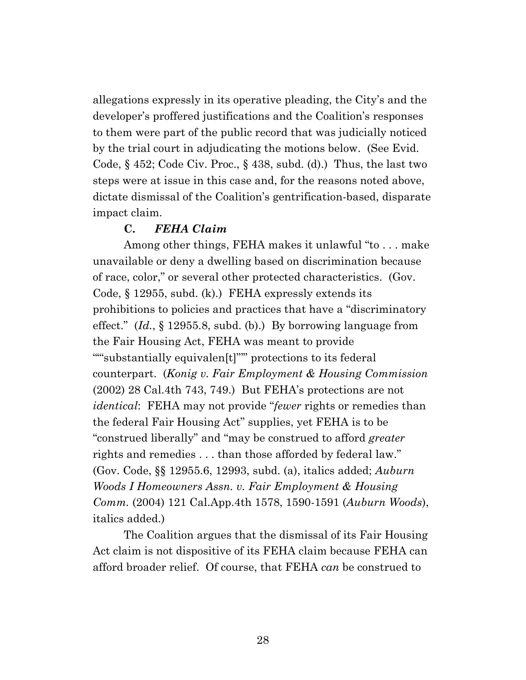allegations expressly in its operative pleading, the City's and the developer's proffered justifications and the Coalition's responses to them were part of the public record that was judicially noticed by the trial court in adjudicating the motions below. (See Evid. Code, § 452; Code Civ. Proc., § 438, subd. (d).) Thus, the last two steps were at issue in this case and, for the reasons noted above, dictate dismissal of the Coalition's gentrification-based, disparate impact claim.

### **C.** *FEHA Claim*

Among other things, FEHA makes it unlawful "to . . . make unavailable or deny a dwelling based on discrimination because of race, color," or several other protected characteristics. (Gov. Code, § 12955, subd. (k).) FEHA expressly extends its prohibitions to policies and practices that have a "discriminatory effect." (*Id.*, § 12955.8, subd. (b).) By borrowing language from the Fair Housing Act, FEHA was meant to provide ""substantially equivalen[t]""" protections to its federal counterpart. (*Konig v. Fair Employment & Housing Commission* (2002) 28 Cal.4th 743, 749.) But FEHA's protections are not *identical*: FEHA may not provide "*fewer* rights or remedies than the federal Fair Housing Act" supplies, yet FEHA is to be "construed liberally" and "may be construed to afford *greater* rights and remedies . . . than those afforded by federal law." (Gov. Code, §§ 12955.6, 12993, subd. (a), italics added; *Auburn Woods I Homeowners Assn. v. Fair Employment & Housing Comm.* (2004) 121 Cal.App.4th 1578, 1590-1591 (*Auburn Woods*), italics added.)

The Coalition argues that the dismissal of its Fair Housing Act claim is not dispositive of its FEHA claim because FEHA can afford broader relief. Of course, that FEHA *can* be construed to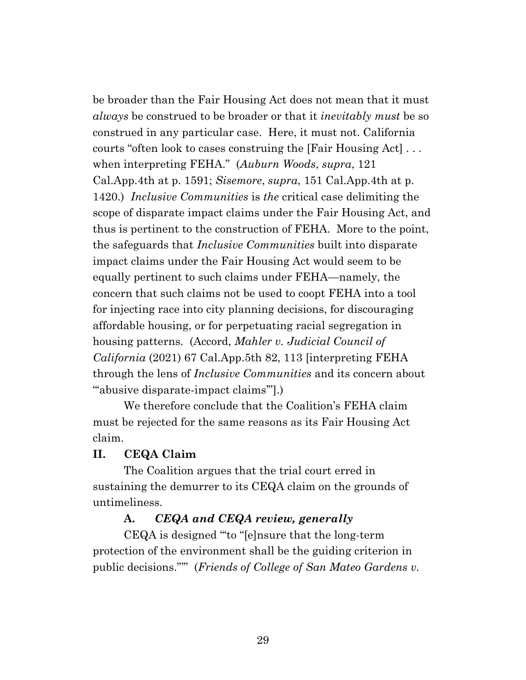be broader than the Fair Housing Act does not mean that it must *always* be construed to be broader or that it *inevitably must* be so construed in any particular case. Here, it must not. California courts "often look to cases construing the [Fair Housing Act] . . . when interpreting FEHA." (*Auburn Woods*, *supra*, 121 Cal.App.4th at p. 1591; *Sisemore*, *supra*, 151 Cal.App.4th at p. 1420.) *Inclusive Communities* is *the* critical case delimiting the scope of disparate impact claims under the Fair Housing Act, and thus is pertinent to the construction of FEHA. More to the point, the safeguards that *Inclusive Communities* built into disparate impact claims under the Fair Housing Act would seem to be equally pertinent to such claims under FEHA—namely, the concern that such claims not be used to coopt FEHA into a tool for injecting race into city planning decisions, for discouraging affordable housing, or for perpetuating racial segregation in housing patterns. (Accord, *Mahler v. Judicial Council of California* (2021) 67 Cal.App.5th 82, 113 [interpreting FEHA through the lens of *Inclusive Communities* and its concern about "abusive disparate-impact claims"].)

We therefore conclude that the Coalition's FEHA claim must be rejected for the same reasons as its Fair Housing Act claim.

### **II. CEQA Claim**

The Coalition argues that the trial court erred in sustaining the demurrer to its CEQA claim on the grounds of untimeliness.

### **A.** *CEQA and CEQA review, generally*

CEQA is designed "'to "[e]nsure that the long-term protection of the environment shall be the guiding criterion in public decisions."'" (*Friends of College of San Mateo Gardens v.*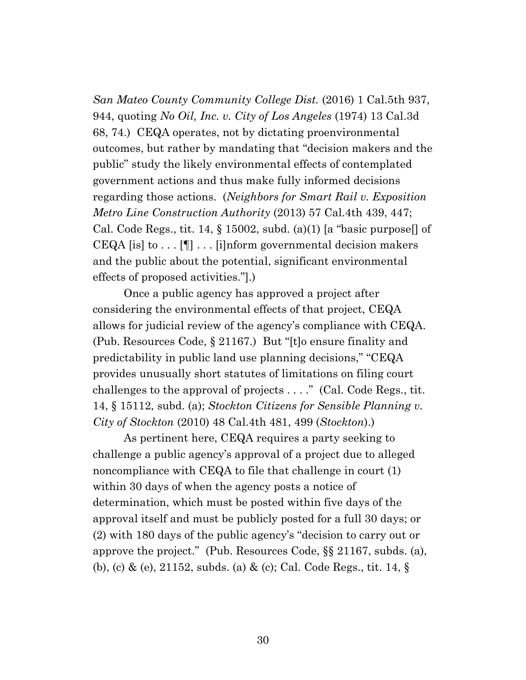*San Mateo County Community College Dist.* (2016) 1 Cal.5th 937, 944, quoting *No Oil, Inc. v. City of Los Angeles* (1974) 13 Cal.3d 68, 74.) CEQA operates, not by dictating proenvironmental outcomes, but rather by mandating that "decision makers and the public" study the likely environmental effects of contemplated government actions and thus make fully informed decisions regarding those actions. (*Neighbors for Smart Rail v. Exposition Metro Line Construction Authority* (2013) 57 Cal.4th 439, 447; Cal. Code Regs., tit. 14,  $\S$  15002, subd. (a)(1) [a "basic purpose]] of CEQA [is] to  $\dots$  [[]]  $\dots$  [i]nform governmental decision makers and the public about the potential, significant environmental effects of proposed activities."].)

Once a public agency has approved a project after considering the environmental effects of that project, CEQA allows for judicial review of the agency's compliance with CEQA. (Pub. Resources Code, § 21167.) But "[t]o ensure finality and predictability in public land use planning decisions," "CEQA provides unusually short statutes of limitations on filing court challenges to the approval of projects . . . ." (Cal. Code Regs., tit. 14, § 15112, subd. (a); *Stockton Citizens for Sensible Planning v. City of Stockton* (2010) 48 Cal.4th 481, 499 (*Stockton*).)

As pertinent here, CEQA requires a party seeking to challenge a public agency's approval of a project due to alleged noncompliance with CEQA to file that challenge in court (1) within 30 days of when the agency posts a notice of determination, which must be posted within five days of the approval itself and must be publicly posted for a full 30 days; or (2) with 180 days of the public agency's "decision to carry out or approve the project." (Pub. Resources Code, §§ 21167, subds. (a), (b), (c) & (e), 21152, subds. (a) & (c); Cal. Code Regs., tit. 14, §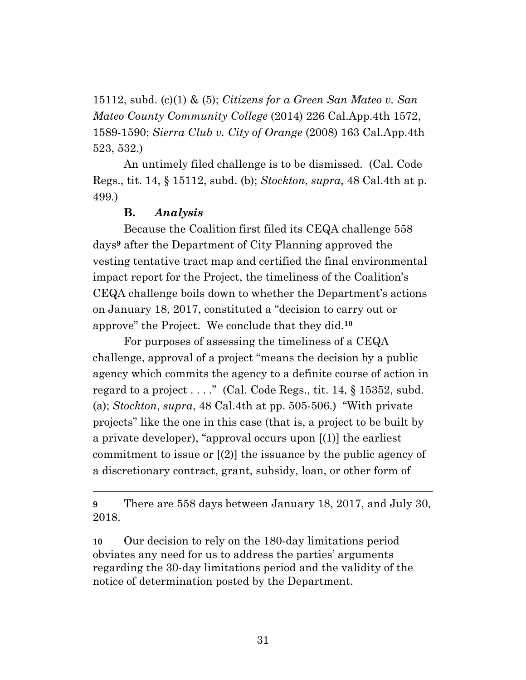15112, subd. (c)(1) & (5); *Citizens for a Green San Mateo v. San Mateo County Community College* (2014) 226 Cal.App.4th 1572, 1589-1590; *Sierra Club v. City of Orange* (2008) 163 Cal.App.4th 523, 532.)

An untimely filed challenge is to be dismissed. (Cal. Code Regs., tit. 14, § 15112, subd. (b); *Stockton*, *supra*, 48 Cal.4th at p. 499.)

### **B.** *Analysis*

Because the Coalition first filed its CEQA challenge 558 days**<sup>9</sup>** after the Department of City Planning approved the vesting tentative tract map and certified the final environmental impact report for the Project, the timeliness of the Coalition's CEQA challenge boils down to whether the Department's actions on January 18, 2017, constituted a "decision to carry out or approve" the Project. We conclude that they did. **10**

For purposes of assessing the timeliness of a CEQA challenge, approval of a project "means the decision by a public agency which commits the agency to a definite course of action in regard to a project  $\dots$ ." (Cal. Code Regs., tit. 14, § 15352, subd. (a); *Stockton*, *supra*, 48 Cal.4th at pp. 505-506.) "With private projects" like the one in this case (that is, a project to be built by a private developer), "approval occurs upon [(1)] the earliest commitment to issue or [(2)] the issuance by the public agency of a discretionary contract, grant, subsidy, loan, or other form of

**9** There are 558 days between January 18, 2017, and July 30, 2018.

**10** Our decision to rely on the 180-day limitations period obviates any need for us to address the parties' arguments regarding the 30-day limitations period and the validity of the notice of determination posted by the Department.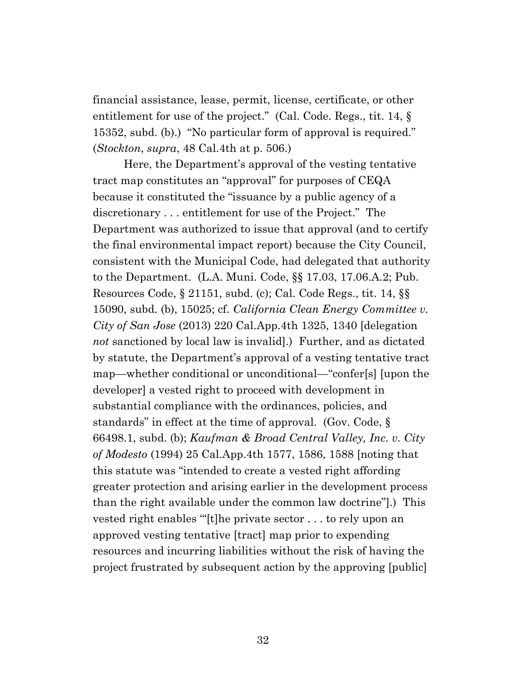financial assistance, lease, permit, license, certificate, or other entitlement for use of the project." (Cal. Code. Regs., tit. 14, § 15352, subd. (b).) "No particular form of approval is required." (*Stockton*, *supra*, 48 Cal.4th at p. 506.)

Here, the Department's approval of the vesting tentative tract map constitutes an "approval" for purposes of CEQA because it constituted the "issuance by a public agency of a discretionary . . . entitlement for use of the Project." The Department was authorized to issue that approval (and to certify the final environmental impact report) because the City Council, consistent with the Municipal Code, had delegated that authority to the Department. (L.A. Muni. Code, §§ 17.03, 17.06.A.2; Pub. Resources Code, § 21151, subd. (c); Cal. Code Regs., tit. 14, §§ 15090, subd. (b), 15025; cf. *California Clean Energy Committee v. City of San Jose* (2013) 220 Cal.App.4th 1325, 1340 [delegation *not* sanctioned by local law is invalid].) Further, and as dictated by statute, the Department's approval of a vesting tentative tract map—whether conditional or unconditional—"confer[s] [upon the developer] a vested right to proceed with development in substantial compliance with the ordinances, policies, and standards" in effect at the time of approval. (Gov. Code, § 66498.1, subd. (b); *Kaufman & Broad Central Valley, Inc. v. City of Modesto* (1994) 25 Cal.App.4th 1577, 1586, 1588 [noting that this statute was "intended to create a vested right affording greater protection and arising earlier in the development process than the right available under the common law doctrine"].) This vested right enables '"[t]he private sector . . . to rely upon an approved vesting tentative [tract] map prior to expending resources and incurring liabilities without the risk of having the project frustrated by subsequent action by the approving [public]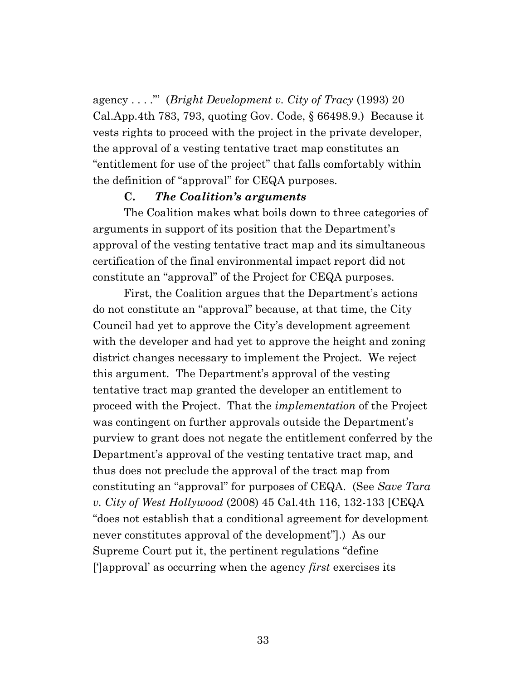agency . . . ."' (*Bright Development v. City of Tracy* (1993) 20 Cal.App.4th 783, 793, quoting Gov. Code, § 66498.9.) Because it vests rights to proceed with the project in the private developer, the approval of a vesting tentative tract map constitutes an "entitlement for use of the project" that falls comfortably within the definition of "approval" for CEQA purposes.

#### **C.** *The Coalition's arguments*

The Coalition makes what boils down to three categories of arguments in support of its position that the Department's approval of the vesting tentative tract map and its simultaneous certification of the final environmental impact report did not constitute an "approval" of the Project for CEQA purposes.

First, the Coalition argues that the Department's actions do not constitute an "approval" because, at that time, the City Council had yet to approve the City's development agreement with the developer and had yet to approve the height and zoning district changes necessary to implement the Project. We reject this argument. The Department's approval of the vesting tentative tract map granted the developer an entitlement to proceed with the Project. That the *implementation* of the Project was contingent on further approvals outside the Department's purview to grant does not negate the entitlement conferred by the Department's approval of the vesting tentative tract map, and thus does not preclude the approval of the tract map from constituting an "approval" for purposes of CEQA. (See *Save Tara v. City of West Hollywood* (2008) 45 Cal.4th 116, 132-133 [CEQA "does not establish that a conditional agreement for development never constitutes approval of the development"].) As our Supreme Court put it, the pertinent regulations "define [']approval' as occurring when the agency *first* exercises its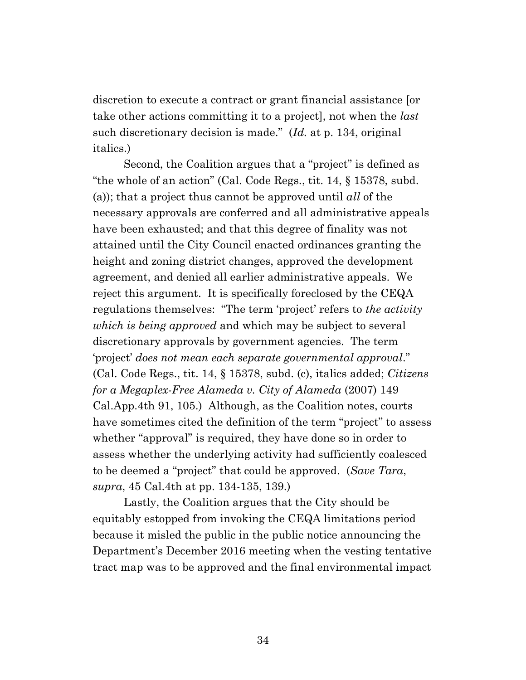discretion to execute a contract or grant financial assistance [or take other actions committing it to a project], not when the *last* such discretionary decision is made." (*Id.* at p. 134, original italics.)

Second, the Coalition argues that a "project" is defined as "the whole of an action" (Cal. Code Regs., tit. 14, § 15378, subd. (a)); that a project thus cannot be approved until *all* of the necessary approvals are conferred and all administrative appeals have been exhausted; and that this degree of finality was not attained until the City Council enacted ordinances granting the height and zoning district changes, approved the development agreement, and denied all earlier administrative appeals. We reject this argument. It is specifically foreclosed by the CEQA regulations themselves: "The term 'project' refers to *the activity which is being approved* and which may be subject to several discretionary approvals by government agencies. The term 'project' *does not mean each separate governmental approval*." (Cal. Code Regs., tit. 14, § 15378, subd. (c), italics added; *Citizens for a Megaplex-Free Alameda v. City of Alameda* (2007) 149 Cal.App.4th 91, 105.) Although, as the Coalition notes, courts have sometimes cited the definition of the term "project" to assess whether "approval" is required, they have done so in order to assess whether the underlying activity had sufficiently coalesced to be deemed a "project" that could be approved. (*Save Tara*, *supra*, 45 Cal.4th at pp. 134-135, 139.)

Lastly, the Coalition argues that the City should be equitably estopped from invoking the CEQA limitations period because it misled the public in the public notice announcing the Department's December 2016 meeting when the vesting tentative tract map was to be approved and the final environmental impact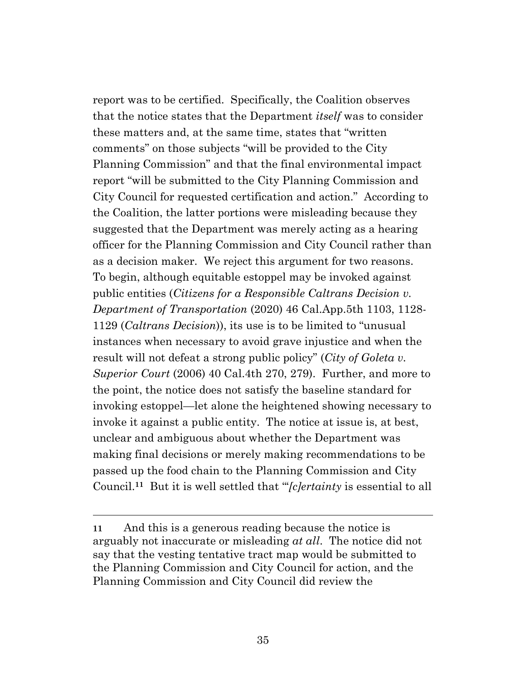report was to be certified. Specifically, the Coalition observes that the notice states that the Department *itself* was to consider these matters and, at the same time, states that "written comments" on those subjects "will be provided to the City Planning Commission" and that the final environmental impact report "will be submitted to the City Planning Commission and City Council for requested certification and action." According to the Coalition, the latter portions were misleading because they suggested that the Department was merely acting as a hearing officer for the Planning Commission and City Council rather than as a decision maker. We reject this argument for two reasons. To begin, although equitable estoppel may be invoked against public entities (*Citizens for a Responsible Caltrans Decision v. Department of Transportation* (2020) 46 Cal.App.5th 1103, 1128- 1129 (*Caltrans Decision*)), its use is to be limited to "unusual instances when necessary to avoid grave injustice and when the result will not defeat a strong public policy" (*City of Goleta v. Superior Court* (2006) 40 Cal.4th 270, 279). Further, and more to the point, the notice does not satisfy the baseline standard for invoking estoppel—let alone the heightened showing necessary to invoke it against a public entity. The notice at issue is, at best, unclear and ambiguous about whether the Department was making final decisions or merely making recommendations to be passed up the food chain to the Planning Commission and City Council. **<sup>11</sup>** But it is well settled that "'*[c]ertainty* is essential to all

**<sup>11</sup>** And this is a generous reading because the notice is arguably not inaccurate or misleading *at all*. The notice did not say that the vesting tentative tract map would be submitted to the Planning Commission and City Council for action, and the Planning Commission and City Council did review the